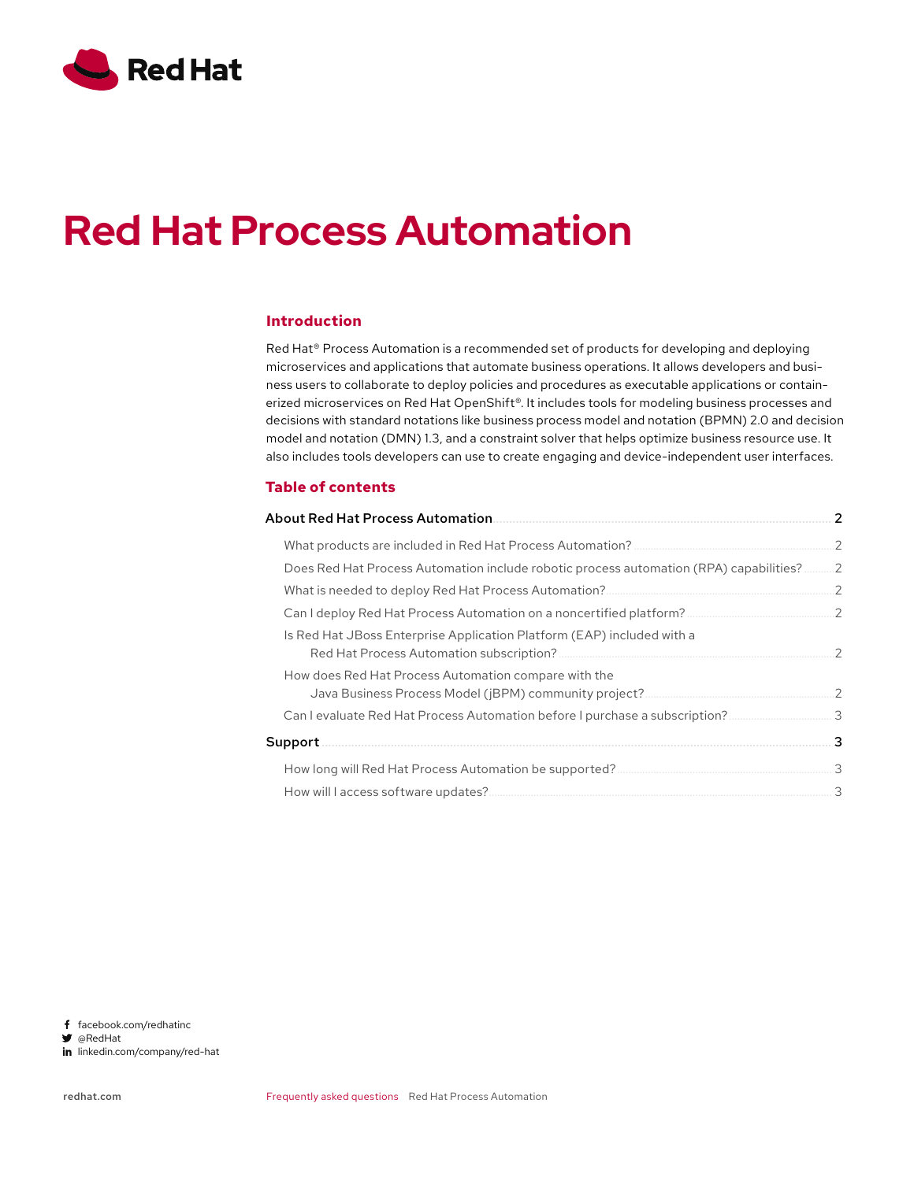

# **Red Hat Process Automation**

### **Introduction**

Red Hat® Process Automation is a recommended set of products for developing and deploying microservices and applications that automate business operations. It allows developers and business users to collaborate to deploy policies and procedures as executable applications or containerized microservices on Red Hat OpenShift®. It includes tools for modeling business processes and decisions with standard notations like business process model and notation (BPMN) 2.0 and decision model and notation (DMN) 1.3, and a constraint solver that helps optimize business resource use. It also includes tools developers can use to create engaging and device-independent user interfaces.

#### **Table of contents**

| <b>About Red Hat Process Automation</b>                                                                       | 2              |
|---------------------------------------------------------------------------------------------------------------|----------------|
|                                                                                                               | $\overline{2}$ |
| Does Red Hat Process Automation include robotic process automation (RPA) capabilities?                        | 2              |
|                                                                                                               | $\mathcal{P}$  |
| Can I deploy Red Hat Process Automation on a noncertified platform?                                           | .2             |
| Is Red Hat JBoss Enterprise Application Platform (EAP) included with a                                        | $\mathcal{P}$  |
| How does Red Hat Process Automation compare with the<br>Java Business Process Model (jBPM) community project? | 2              |
|                                                                                                               |                |
| Support                                                                                                       |                |
|                                                                                                               | 3              |
| How will I access software updates?                                                                           |                |
|                                                                                                               |                |

f facebook.com/redhatinc

@RedHat

in linkedin.com/company/red-hat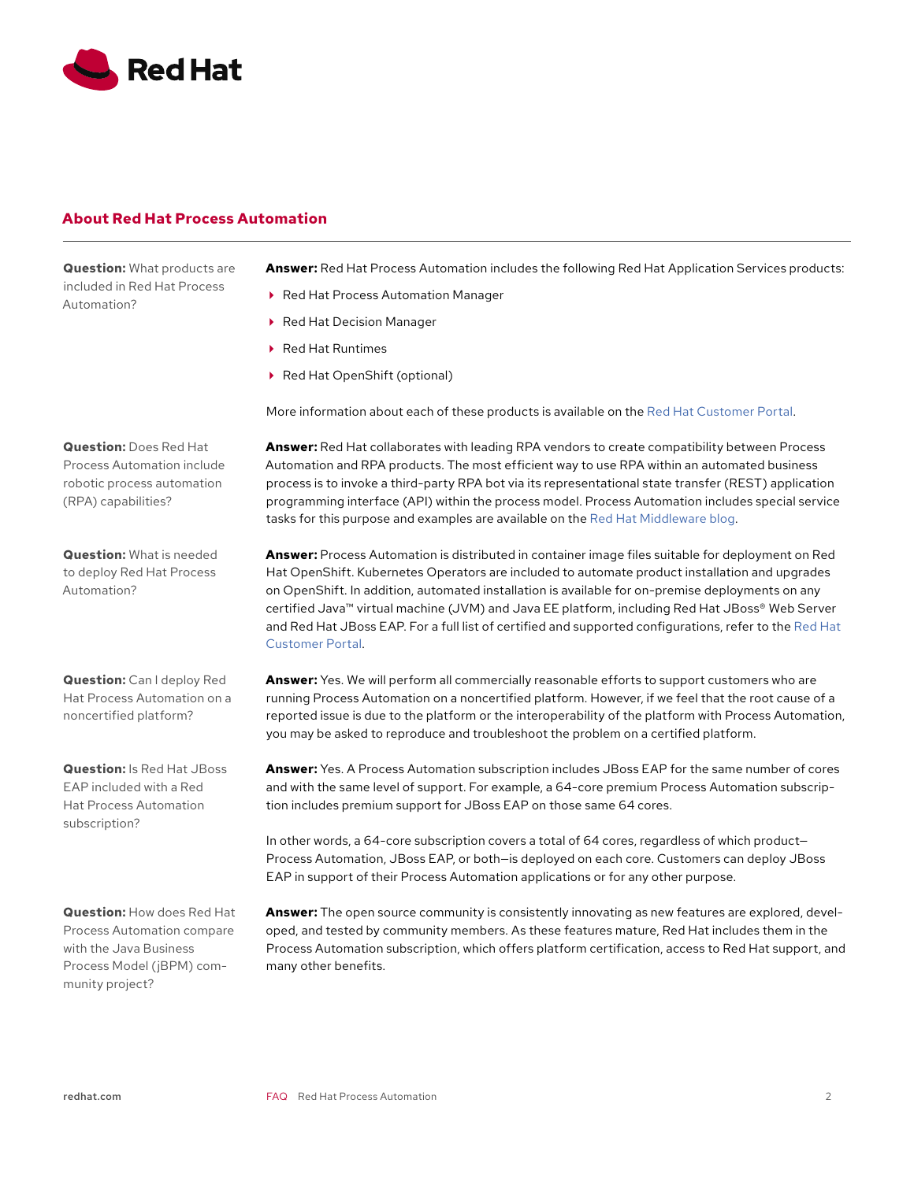<span id="page-1-0"></span>

# **About Red Hat Process Automation**

**Question:** What products are included in Red Hat Process Automation?

**Answer:** Red Hat Process Automation includes the following Red Hat Application Services products:

- ▶ Red Hat Process Automation Manager
- ▶ Red Hat Decision Manager
- ▶ Red Hat Runtimes
- ▶ Red Hat OpenShift (optional)

More information about each of these products is available on the [Red Hat Customer Portal](https://access.redhat.com/products).

**Answer:** Red Hat collaborates with leading RPA vendors to create compatibility between Process Automation and RPA products. The most efficient way to use RPA within an automated business process is to invoke a third-party RPA bot via its representational state transfer (REST) application programming interface (API) within the process model. Process Automation includes special service tasks for this purpose and examples are available on the [Red Hat Middleware blog.](https://www.redhat.com/en/blog/channel/red-hat-middleware)

**Answer:** Process Automation is distributed in container image files suitable for deployment on Red Hat OpenShift. Kubernetes Operators are included to automate product installation and upgrades on OpenShift. In addition, automated installation is available for on-premise deployments on any certified Java™ virtual machine (JVM) and Java EE platform, including Red Hat JBoss® Web Server and Red Hat JBoss EAP. For a full list of certified and supported configurations, refer to the [Red Hat](https://access.redhat.com/articles/3405381)  [Customer Portal.](https://access.redhat.com/articles/3405381)

**Answer:** Yes. We will perform all commercially reasonable efforts to support customers who are running Process Automation on a noncertified platform. However, if we feel that the root cause of a reported issue is due to the platform or the interoperability of the platform with Process Automation, you may be asked to reproduce and troubleshoot the problem on a certified platform.

**Answer:** Yes. A Process Automation subscription includes JBoss EAP for the same number of cores and with the same level of support. For example, a 64-core premium Process Automation subscription includes premium support for JBoss EAP on those same 64 cores.

In other words, a 64-core subscription covers a total of 64 cores, regardless of which product— Process Automation, JBoss EAP, or both—is deployed on each core. Customers can deploy JBoss EAP in support of their Process Automation applications or for any other purpose.

**Answer:** The open source community is consistently innovating as new features are explored, developed, and tested by community members. As these features mature, Red Hat includes them in the Process Automation subscription, which offers platform certification, access to Red Hat support, and many other benefits.

**Question:** Does Red Hat Process Automation include robotic process automation (RPA) capabilities?

**Question:** What is needed to deploy Red Hat Process Automation?

**Question:** Can I deploy Red Hat Process Automation on a noncertified platform?

**Question:** Is Red Hat JBoss EAP included with a Red Hat Process Automation subscription?

**Question:** How does Red Hat Process Automation compare with the Java Business Process Model (jBPM) community project?